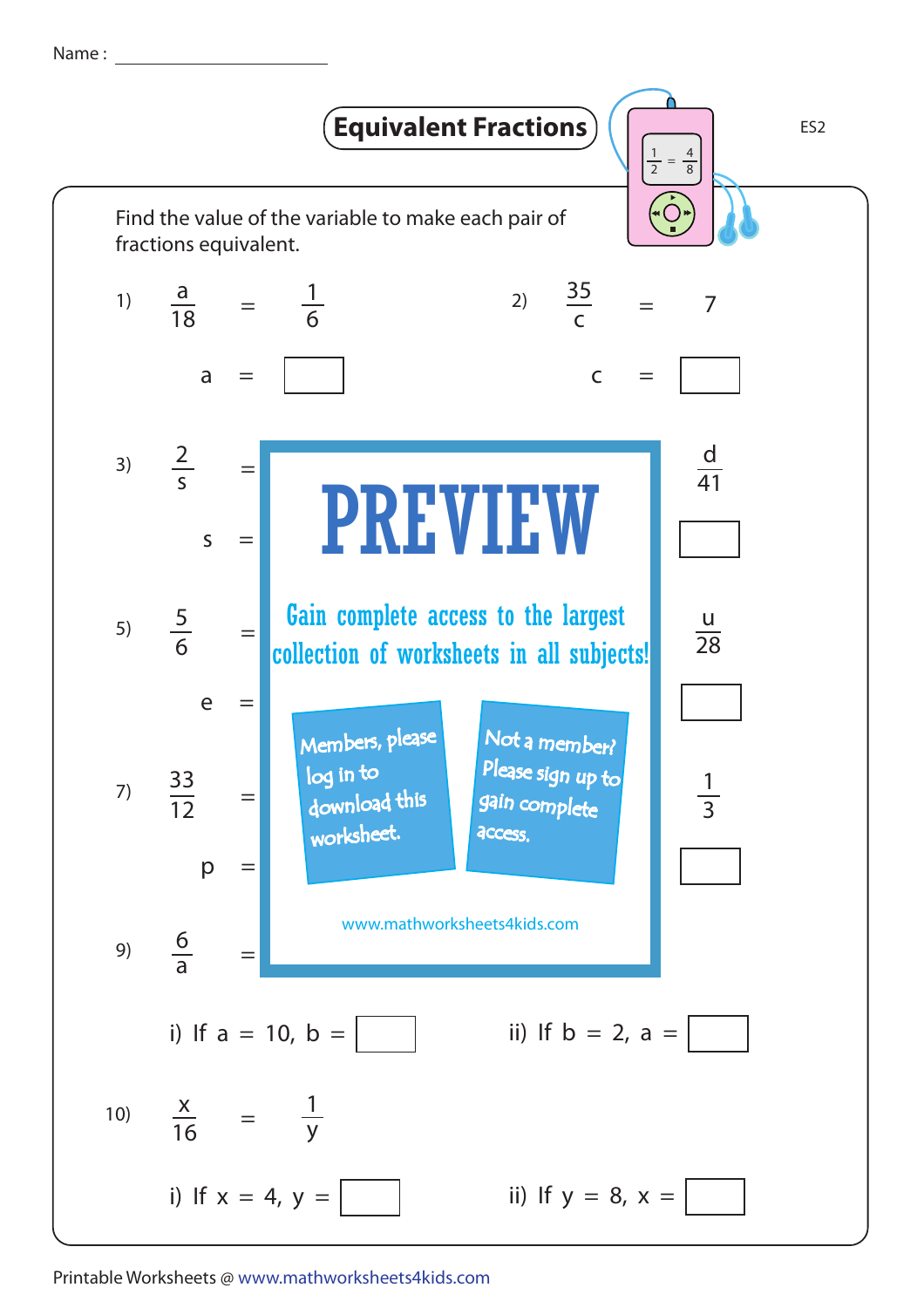Name :